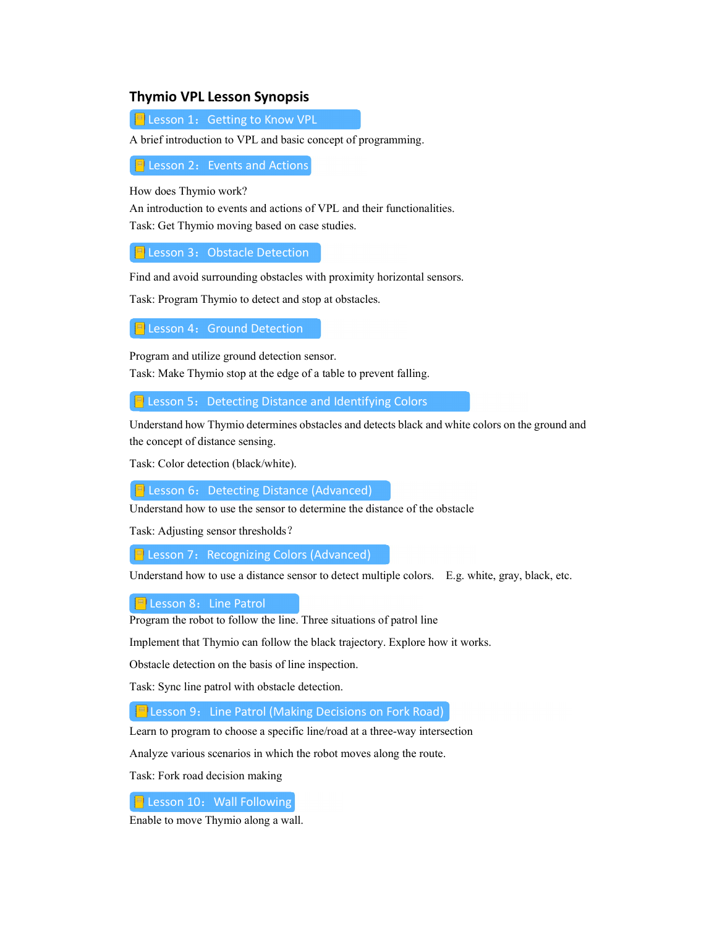## Thymio VPL Lesson Synopsis

E Lesson 1: Getting to Know VPL

A brief introduction to VPL and basic concept of programming.

 $\frac{1}{2}$  Lesson 2: Events and Actions

How does Thymio work?

An introduction to events and actions of VPL and their functionalities. Task: Get Thymio moving based on case studies.

 $\left| \frac{1}{2} \right|$  Lesson 3: Obstacle Detection

Find and avoid surrounding obstacles with proximity horizontal sensors.

Task: Program Thymio to detect and stop at obstacles.

 $\boxed{=}$  Lesson 4: Ground Detection

Program and utilize ground detection sensor. Task: Make Thymio stop at the edge of a table to prevent falling.

 $\left| \right|$  Lesson 5: Detecting Distance and Identifying Colors

Understand how Thymio determines obstacles and detects black and white colors on the ground and the concept of distance sensing.

Task: Color detection (black/white).

 $\left| \right|$  Lesson 6: Detecting Distance (Advanced)

Understand how to use the sensor to determine the distance of the obstacle

Task: Adjusting sensor thresholds?

**E** Lesson 7: Recognizing Colors (Advanced)

Understand how to use a distance sensor to detect multiple colors. E.g. white, gray, black, etc.

 $\Box$  Lesson 8: Line Patrol

Program the robot to follow the line. Three situations of patrol line

Implement that Thymio can follow the black trajectory. Explore how it works.

Obstacle detection on the basis of line inspection.

Task: Sync line patrol with obstacle detection.

**E** Lesson 9: Line Patrol (Making Decisions on Fork Road)

Learn to program to choose a specific line/road at a three-way intersection

Analyze various scenarios in which the robot moves along the route.

Task: Fork road decision making

 $\left| \frac{1}{2} \right|$  Lesson 10: Wall Following

Enable to move Thymio along a wall.